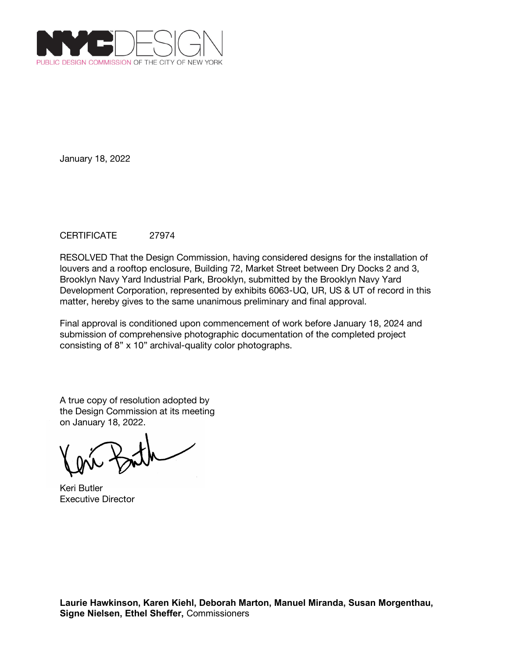

## CERTIFICATE 27974

RESOLVED That the Design Commission, having considered designs for the installation of louvers and a rooftop enclosure, Building 72, Market Street between Dry Docks 2 and 3, Brooklyn Navy Yard Industrial Park, Brooklyn, submitted by the Brooklyn Navy Yard Development Corporation, represented by exhibits 6063-UQ, UR, US & UT of record in this matter, hereby gives to the same unanimous preliminary and final approval.

Final approval is conditioned upon commencement of work before January 18, 2024 and submission of comprehensive photographic documentation of the completed project consisting of 8" x 10" archival-quality color photographs.

A true copy of resolution adopted by the Design Commission at its meeting on January 18, 2022.

Keri Butler Executive Director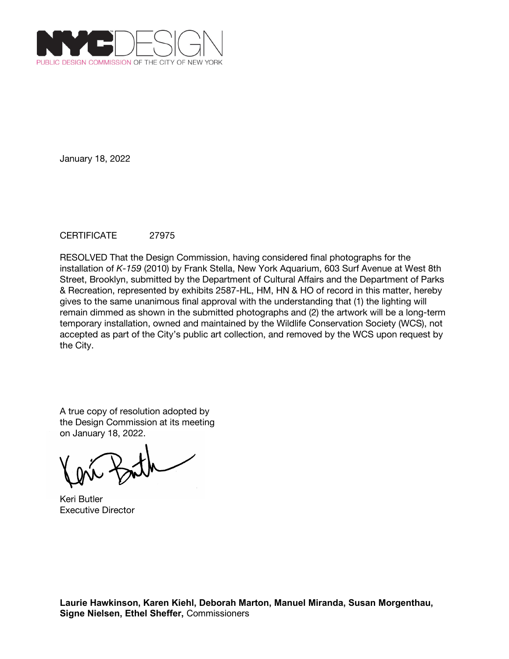

# CERTIFICATE 27975

RESOLVED That the Design Commission, having considered final photographs for the installation of *K-159* (2010) by Frank Stella, New York Aquarium, 603 Surf Avenue at West 8th Street, Brooklyn, submitted by the Department of Cultural Affairs and the Department of Parks & Recreation, represented by exhibits 2587-HL, HM, HN & HO of record in this matter, hereby gives to the same unanimous final approval with the understanding that (1) the lighting will remain dimmed as shown in the submitted photographs and (2) the artwork will be a long-term temporary installation, owned and maintained by the Wildlife Conservation Society (WCS), not accepted as part of the City's public art collection, and removed by the WCS upon request by the City.

A true copy of resolution adopted by the Design Commission at its meeting on January 18, 2022.

Keri Butler Executive Director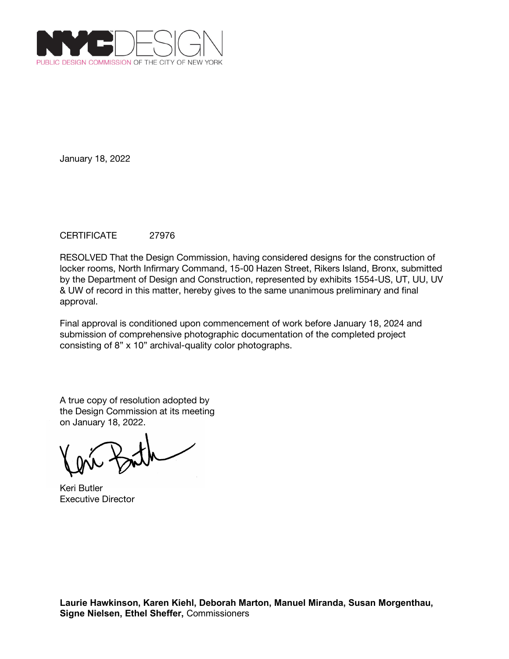

## CERTIFICATE 27976

RESOLVED That the Design Commission, having considered designs for the construction of locker rooms, North Infirmary Command, 15-00 Hazen Street, Rikers Island, Bronx, submitted by the Department of Design and Construction, represented by exhibits 1554-US, UT, UU, UV & UW of record in this matter, hereby gives to the same unanimous preliminary and final approval.

Final approval is conditioned upon commencement of work before January 18, 2024 and submission of comprehensive photographic documentation of the completed project consisting of 8" x 10" archival-quality color photographs.

Keri Butler Executive Director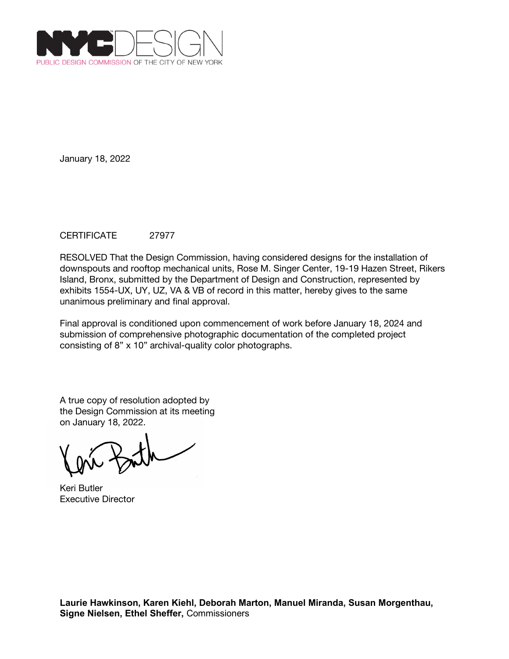

## CERTIFICATE 27977

RESOLVED That the Design Commission, having considered designs for the installation of downspouts and rooftop mechanical units, Rose M. Singer Center, 19-19 Hazen Street, Rikers Island, Bronx, submitted by the Department of Design and Construction, represented by exhibits 1554-UX, UY, UZ, VA & VB of record in this matter, hereby gives to the same unanimous preliminary and final approval.

Final approval is conditioned upon commencement of work before January 18, 2024 and submission of comprehensive photographic documentation of the completed project consisting of 8" x 10" archival-quality color photographs.

A true copy of resolution adopted by the Design Commission at its meeting on January 18, 2022.

Keri Butler Executive Director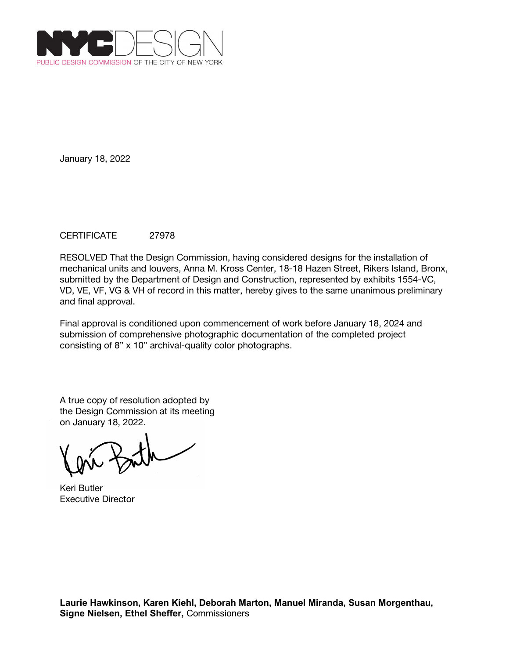

## CERTIFICATE 27978

RESOLVED That the Design Commission, having considered designs for the installation of mechanical units and louvers, Anna M. Kross Center, 18-18 Hazen Street, Rikers Island, Bronx, submitted by the Department of Design and Construction, represented by exhibits 1554-VC, VD, VE, VF, VG & VH of record in this matter, hereby gives to the same unanimous preliminary and final approval.

Final approval is conditioned upon commencement of work before January 18, 2024 and submission of comprehensive photographic documentation of the completed project consisting of 8" x 10" archival-quality color photographs.

Keri Butler Executive Director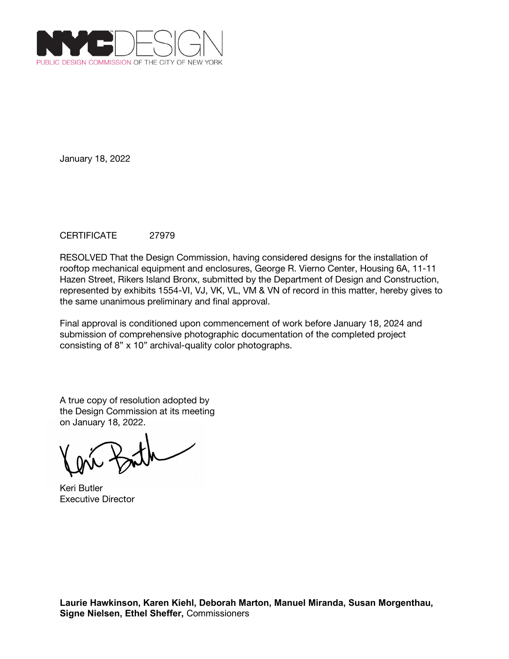

## CERTIFICATE 27979

RESOLVED That the Design Commission, having considered designs for the installation of rooftop mechanical equipment and enclosures, George R. Vierno Center, Housing 6A, 11-11 Hazen Street, Rikers Island Bronx, submitted by the Department of Design and Construction, represented by exhibits 1554-VI, VJ, VK, VL, VM & VN of record in this matter, hereby gives to the same unanimous preliminary and final approval.

Final approval is conditioned upon commencement of work before January 18, 2024 and submission of comprehensive photographic documentation of the completed project consisting of 8" x 10" archival-quality color photographs.

A true copy of resolution adopted by the Design Commission at its meeting on January 18, 2022.

Keri Butler Executive Director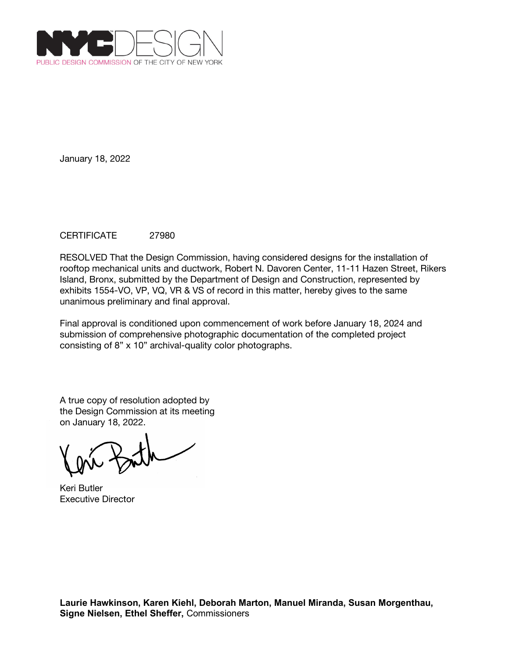

## CERTIFICATE 27980

RESOLVED That the Design Commission, having considered designs for the installation of rooftop mechanical units and ductwork, Robert N. Davoren Center, 11-11 Hazen Street, Rikers Island, Bronx, submitted by the Department of Design and Construction, represented by exhibits 1554-VO, VP, VQ, VR & VS of record in this matter, hereby gives to the same unanimous preliminary and final approval.

Final approval is conditioned upon commencement of work before January 18, 2024 and submission of comprehensive photographic documentation of the completed project consisting of 8" x 10" archival-quality color photographs.

Keri Butler Executive Director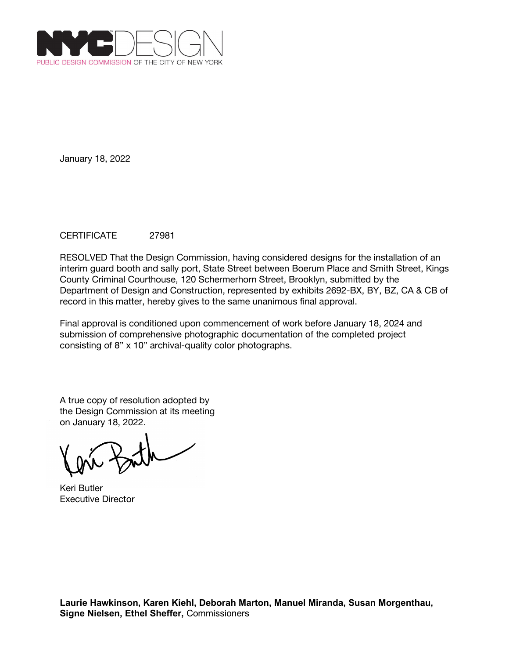

## CERTIFICATE 27981

RESOLVED That the Design Commission, having considered designs for the installation of an interim guard booth and sally port, State Street between Boerum Place and Smith Street, Kings County Criminal Courthouse, 120 Schermerhorn Street, Brooklyn, submitted by the Department of Design and Construction, represented by exhibits 2692-BX, BY, BZ, CA & CB of record in this matter, hereby gives to the same unanimous final approval.

Final approval is conditioned upon commencement of work before January 18, 2024 and submission of comprehensive photographic documentation of the completed project consisting of 8" x 10" archival-quality color photographs.

Keri Butler Executive Director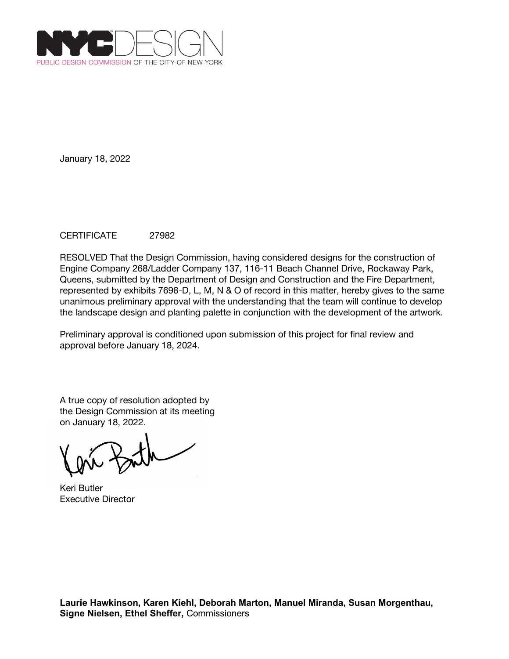

## CERTIFICATE 27982

RESOLVED That the Design Commission, having considered designs for the construction of Engine Company 268/Ladder Company 137, 116-11 Beach Channel Drive, Rockaway Park, Queens, submitted by the Department of Design and Construction and the Fire Department, represented by exhibits 7698-D, L, M, N & O of record in this matter, hereby gives to the same unanimous preliminary approval with the understanding that the team will continue to develop the landscape design and planting palette in conjunction with the development of the artwork.

Preliminary approval is conditioned upon submission of this project for final review and approval before January 18, 2024.

Keri Butler Executive Director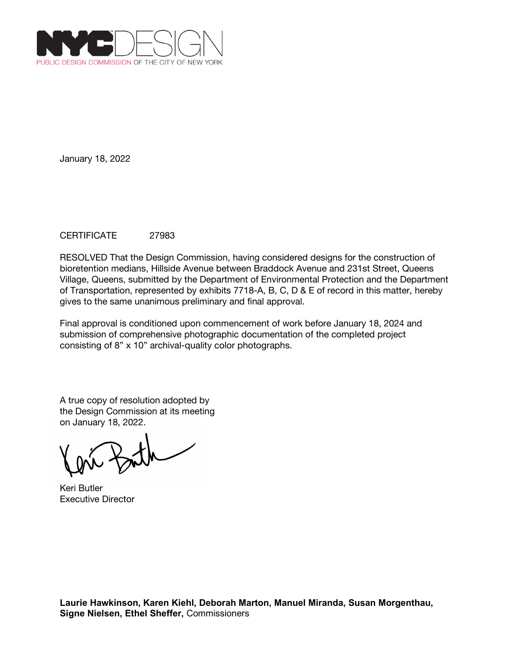

## CERTIFICATE 27983

RESOLVED That the Design Commission, having considered designs for the construction of bioretention medians, Hillside Avenue between Braddock Avenue and 231st Street, Queens Village, Queens, submitted by the Department of Environmental Protection and the Department of Transportation, represented by exhibits 7718-A, B, C, D & E of record in this matter, hereby gives to the same unanimous preliminary and final approval.

Final approval is conditioned upon commencement of work before January 18, 2024 and submission of comprehensive photographic documentation of the completed project consisting of 8" x 10" archival-quality color photographs.

Keri Butler Executive Director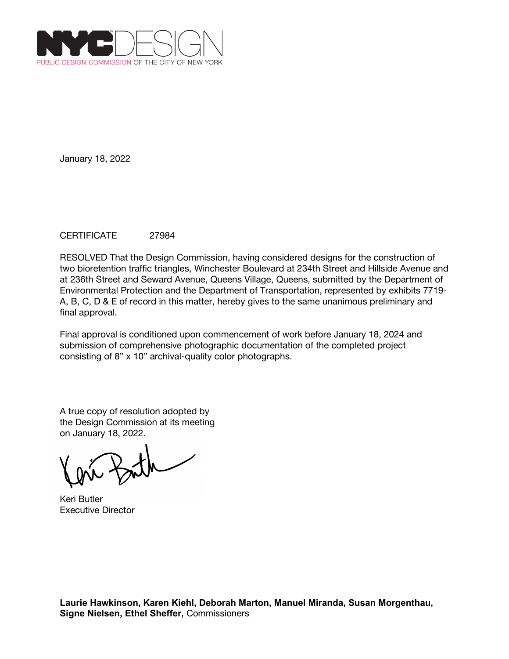

## CERTIFICATE 27984

RESOLVED That the Design Commission, having considered designs for the construction of two bioretention traffic triangles, Winchester Boulevard at 234th Street and Hillside Avenue and at 236th Street and Seward Avenue, Queens Village, Queens, submitted by the Department of Environmental Protection and the Department of Transportation, represented by exhibits 7719- A, B, C, D & E of record in this matter, hereby gives to the same unanimous preliminary and final approval.

Final approval is conditioned upon commencement of work before January 18, 2024 and submission of comprehensive photographic documentation of the completed project consisting of 8" x 10" archival-quality color photographs.

A true copy of resolution adopted by the Design Commission at its meeting on January 18, 2022.

Keri Butler Executive Director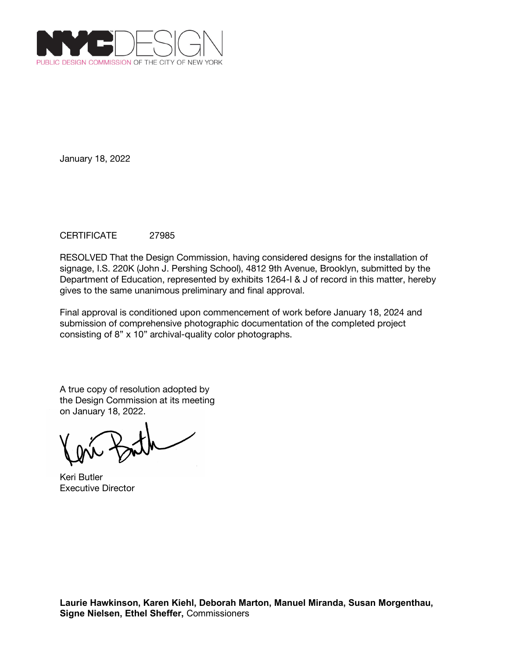

## CERTIFICATE 27985

RESOLVED That the Design Commission, having considered designs for the installation of signage, I.S. 220K (John J. Pershing School), 4812 9th Avenue, Brooklyn, submitted by the Department of Education, represented by exhibits 1264-I & J of record in this matter, hereby gives to the same unanimous preliminary and final approval.

Final approval is conditioned upon commencement of work before January 18, 2024 and submission of comprehensive photographic documentation of the completed project consisting of 8" x 10" archival-quality color photographs.

Keri Butler Executive Director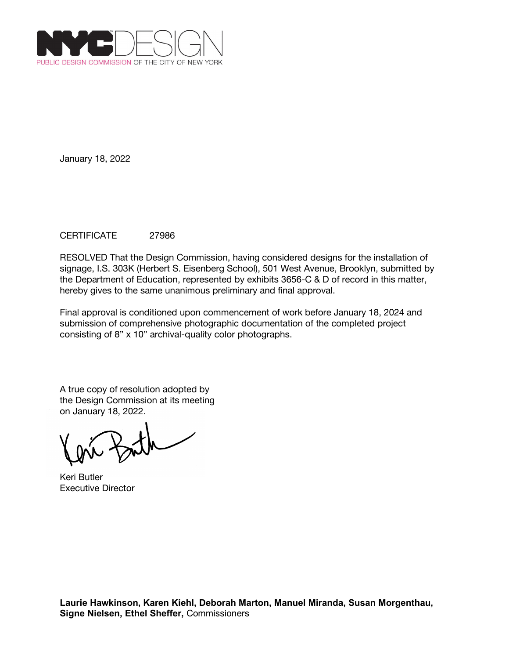

## CERTIFICATE 27986

RESOLVED That the Design Commission, having considered designs for the installation of signage, I.S. 303K (Herbert S. Eisenberg School), 501 West Avenue, Brooklyn, submitted by the Department of Education, represented by exhibits 3656-C & D of record in this matter, hereby gives to the same unanimous preliminary and final approval.

Final approval is conditioned upon commencement of work before January 18, 2024 and submission of comprehensive photographic documentation of the completed project consisting of 8" x 10" archival-quality color photographs.

Keri Butler Executive Director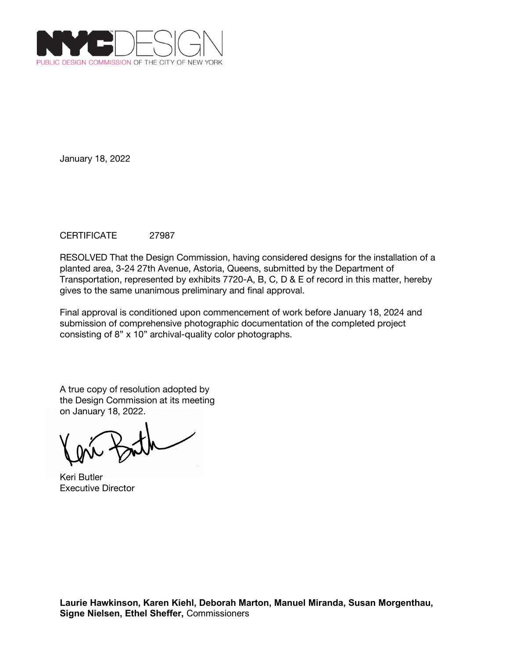

## CERTIFICATE 27987

RESOLVED That the Design Commission, having considered designs for the installation of a planted area, 3-24 27th Avenue, Astoria, Queens, submitted by the Department of Transportation, represented by exhibits 7720-A, B, C, D & E of record in this matter, hereby gives to the same unanimous preliminary and final approval.

Final approval is conditioned upon commencement of work before January 18, 2024 and submission of comprehensive photographic documentation of the completed project consisting of 8" x 10" archival-quality color photographs.

Keri Butler Executive Director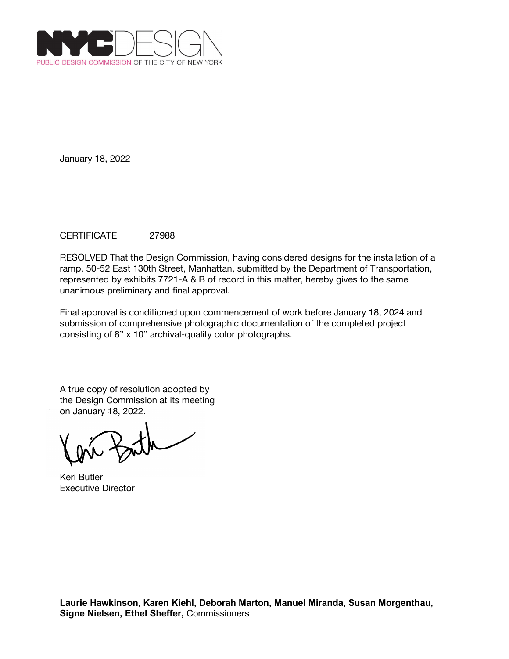

## CERTIFICATE 27988

RESOLVED That the Design Commission, having considered designs for the installation of a ramp, 50-52 East 130th Street, Manhattan, submitted by the Department of Transportation, represented by exhibits 7721-A & B of record in this matter, hereby gives to the same unanimous preliminary and final approval.

Final approval is conditioned upon commencement of work before January 18, 2024 and submission of comprehensive photographic documentation of the completed project consisting of 8" x 10" archival-quality color photographs.

Keri Butler Executive Director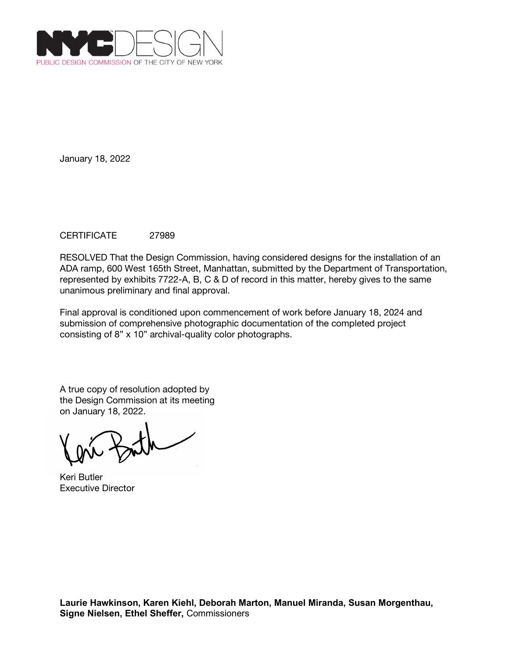

## CERTIFICATE 27989

RESOLVED That the Design Commission, having considered designs for the installation of an ADA ramp, 600 West 165th Street, Manhattan, submitted by the Department of Transportation, represented by exhibits 7722-A, B, C & D of record in this matter, hereby gives to the same unanimous preliminary and final approval.

Final approval is conditioned upon commencement of work before January 18, 2024 and submission of comprehensive photographic documentation of the completed project consisting of 8" x 10" archival-quality color photographs.

Keri Butler Executive Director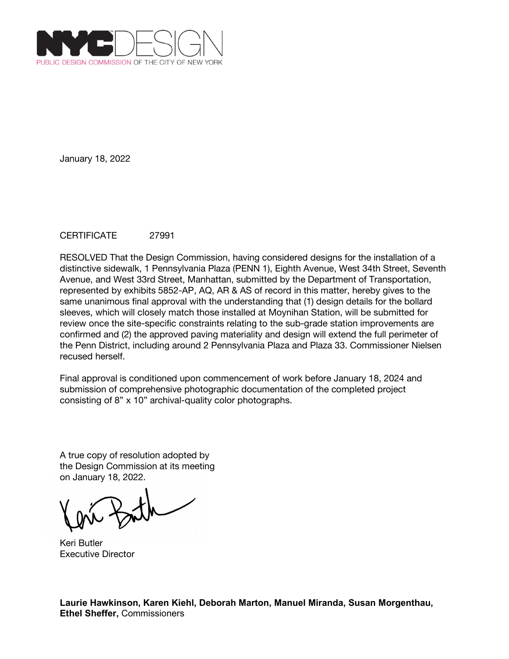

## CERTIFICATE 27991

RESOLVED That the Design Commission, having considered designs for the installation of a distinctive sidewalk, 1 Pennsylvania Plaza (PENN 1), Eighth Avenue, West 34th Street, Seventh Avenue, and West 33rd Street, Manhattan, submitted by the Department of Transportation, represented by exhibits 5852-AP, AQ, AR & AS of record in this matter, hereby gives to the same unanimous final approval with the understanding that (1) design details for the bollard sleeves, which will closely match those installed at Moynihan Station, will be submitted for review once the site-specific constraints relating to the sub-grade station improvements are confirmed and (2) the approved paving materiality and design will extend the full perimeter of the Penn District, including around 2 Pennsylvania Plaza and Plaza 33. Commissioner Nielsen recused herself.

Final approval is conditioned upon commencement of work before January 18, 2024 and submission of comprehensive photographic documentation of the completed project consisting of 8" x 10" archival-quality color photographs.

A true copy of resolution adopted by the Design Commission at its meeting on January 18, 2022.

Keri Butler Executive Director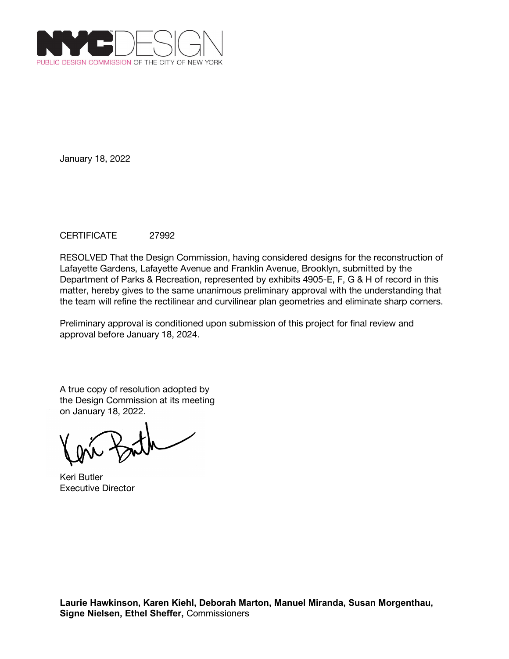

## CERTIFICATE 27992

RESOLVED That the Design Commission, having considered designs for the reconstruction of Lafayette Gardens, Lafayette Avenue and Franklin Avenue, Brooklyn, submitted by the Department of Parks & Recreation, represented by exhibits 4905-E, F, G & H of record in this matter, hereby gives to the same unanimous preliminary approval with the understanding that the team will refine the rectilinear and curvilinear plan geometries and eliminate sharp corners.

Preliminary approval is conditioned upon submission of this project for final review and approval before January 18, 2024.

Keri Butler Executive Director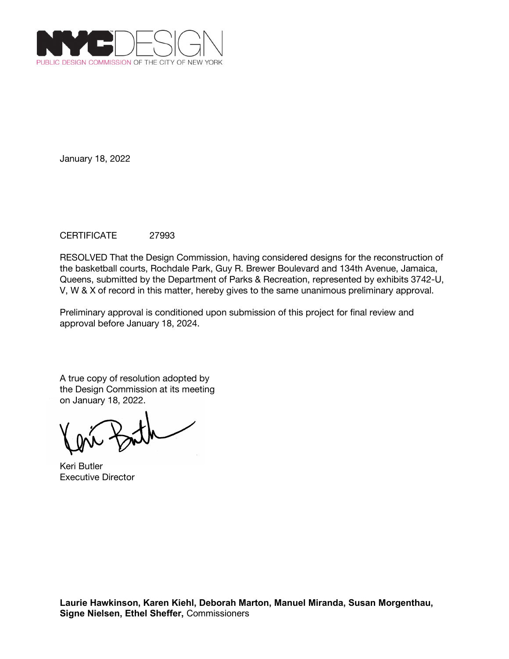

# CERTIFICATE 27993

RESOLVED That the Design Commission, having considered designs for the reconstruction of the basketball courts, Rochdale Park, Guy R. Brewer Boulevard and 134th Avenue, Jamaica, Queens, submitted by the Department of Parks & Recreation, represented by exhibits 3742-U, V, W & X of record in this matter, hereby gives to the same unanimous preliminary approval.

Preliminary approval is conditioned upon submission of this project for final review and approval before January 18, 2024.

Keri Butler Executive Director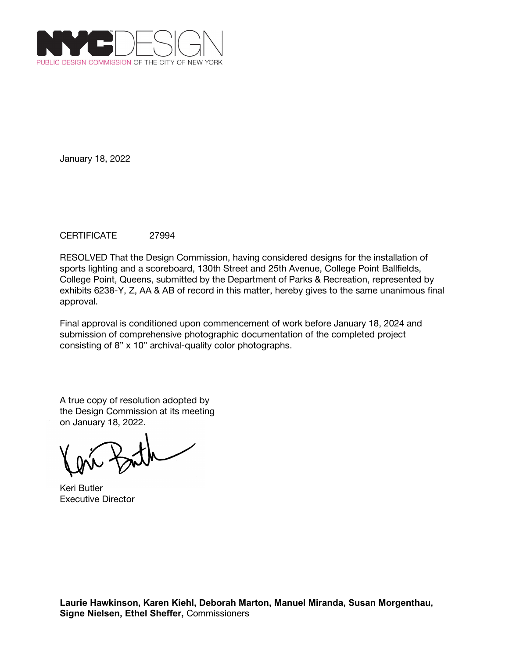

## CERTIFICATE 27994

RESOLVED That the Design Commission, having considered designs for the installation of sports lighting and a scoreboard, 130th Street and 25th Avenue, College Point Ballfields, College Point, Queens, submitted by the Department of Parks & Recreation, represented by exhibits 6238-Y, Z, AA & AB of record in this matter, hereby gives to the same unanimous final approval.

Final approval is conditioned upon commencement of work before January 18, 2024 and submission of comprehensive photographic documentation of the completed project consisting of 8" x 10" archival-quality color photographs.

Keri Butler Executive Director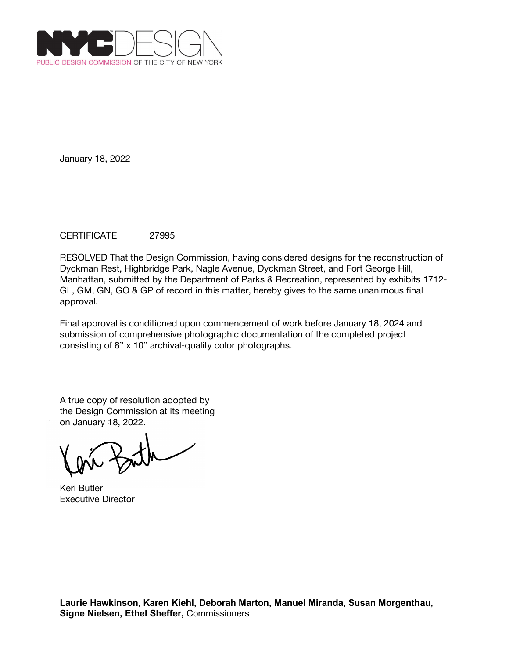

## CERTIFICATE 27995

RESOLVED That the Design Commission, having considered designs for the reconstruction of Dyckman Rest, Highbridge Park, Nagle Avenue, Dyckman Street, and Fort George Hill, Manhattan, submitted by the Department of Parks & Recreation, represented by exhibits 1712- GL, GM, GN, GO & GP of record in this matter, hereby gives to the same unanimous final approval.

Final approval is conditioned upon commencement of work before January 18, 2024 and submission of comprehensive photographic documentation of the completed project consisting of 8" x 10" archival-quality color photographs.

A true copy of resolution adopted by the Design Commission at its meeting on January 18, 2022.

Keri Butler Executive Director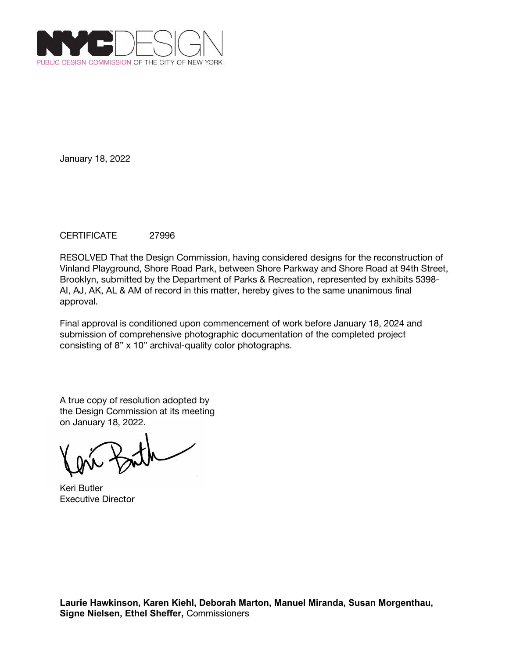

## CERTIFICATE 27996

RESOLVED That the Design Commission, having considered designs for the reconstruction of Vinland Playground, Shore Road Park, between Shore Parkway and Shore Road at 94th Street, Brooklyn, submitted by the Department of Parks & Recreation, represented by exhibits 5398- AI, AJ, AK, AL & AM of record in this matter, hereby gives to the same unanimous final approval.

Final approval is conditioned upon commencement of work before January 18, 2024 and submission of comprehensive photographic documentation of the completed project consisting of 8" x 10" archival-quality color photographs.

Keri Butler Executive Director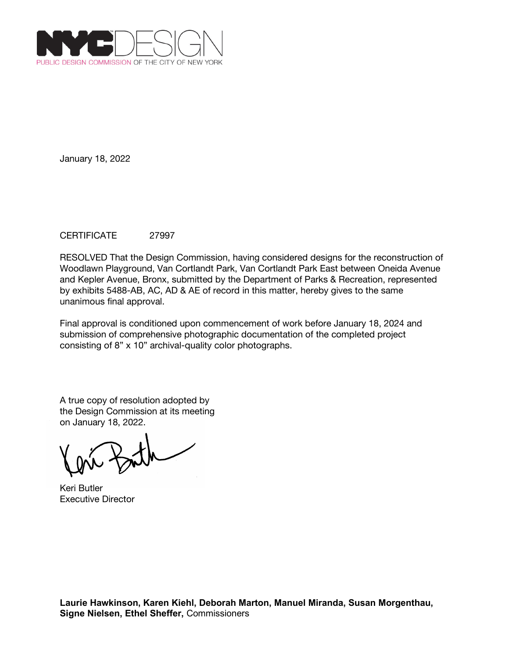

## CERTIFICATE 27997

RESOLVED That the Design Commission, having considered designs for the reconstruction of Woodlawn Playground, Van Cortlandt Park, Van Cortlandt Park East between Oneida Avenue and Kepler Avenue, Bronx, submitted by the Department of Parks & Recreation, represented by exhibits 5488-AB, AC, AD & AE of record in this matter, hereby gives to the same unanimous final approval.

Final approval is conditioned upon commencement of work before January 18, 2024 and submission of comprehensive photographic documentation of the completed project consisting of 8" x 10" archival-quality color photographs.

Keri Butler Executive Director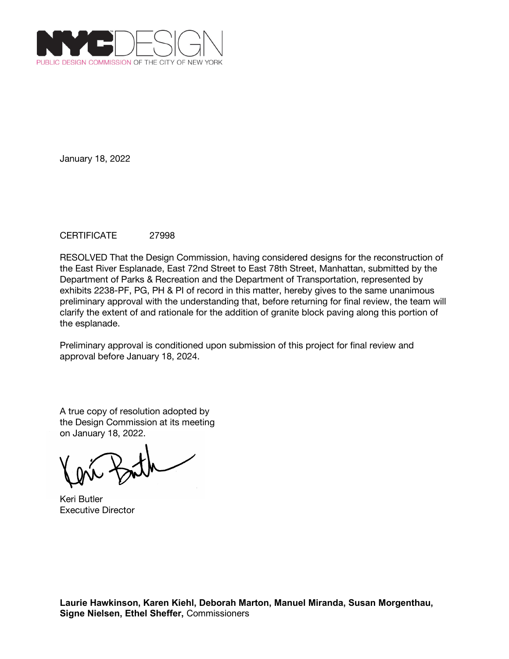

## CERTIFICATE 27998

RESOLVED That the Design Commission, having considered designs for the reconstruction of the East River Esplanade, East 72nd Street to East 78th Street, Manhattan, submitted by the Department of Parks & Recreation and the Department of Transportation, represented by exhibits 2238-PF, PG, PH & PI of record in this matter, hereby gives to the same unanimous preliminary approval with the understanding that, before returning for final review, the team will clarify the extent of and rationale for the addition of granite block paving along this portion of the esplanade.

Preliminary approval is conditioned upon submission of this project for final review and approval before January 18, 2024.

A true copy of resolution adopted by the Design Commission at its meeting on January 18, 2022.

Keri Butler Executive Director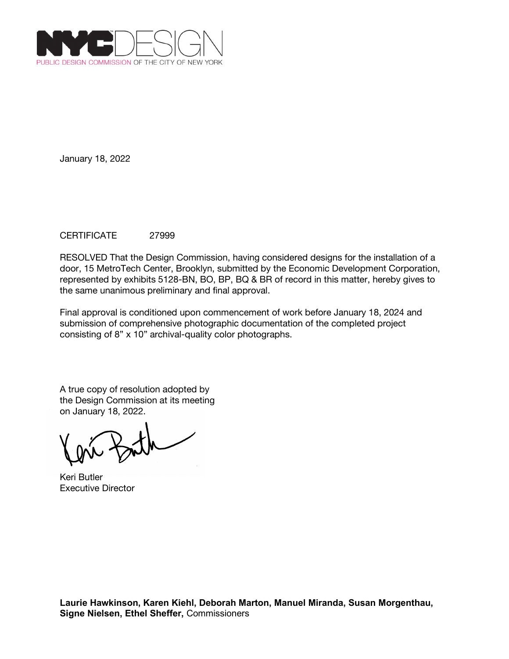

## CERTIFICATE 27999

RESOLVED That the Design Commission, having considered designs for the installation of a door, 15 MetroTech Center, Brooklyn, submitted by the Economic Development Corporation, represented by exhibits 5128-BN, BO, BP, BQ & BR of record in this matter, hereby gives to the same unanimous preliminary and final approval.

Final approval is conditioned upon commencement of work before January 18, 2024 and submission of comprehensive photographic documentation of the completed project consisting of 8" x 10" archival-quality color photographs.

Keri Butler Executive Director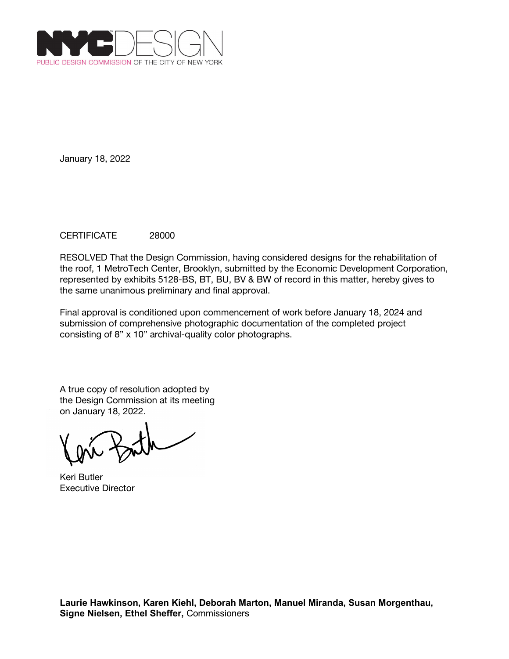

## CERTIFICATE 28000

RESOLVED That the Design Commission, having considered designs for the rehabilitation of the roof, 1 MetroTech Center, Brooklyn, submitted by the Economic Development Corporation, represented by exhibits 5128-BS, BT, BU, BV & BW of record in this matter, hereby gives to the same unanimous preliminary and final approval.

Final approval is conditioned upon commencement of work before January 18, 2024 and submission of comprehensive photographic documentation of the completed project consisting of 8" x 10" archival-quality color photographs.

Keri Butler Executive Director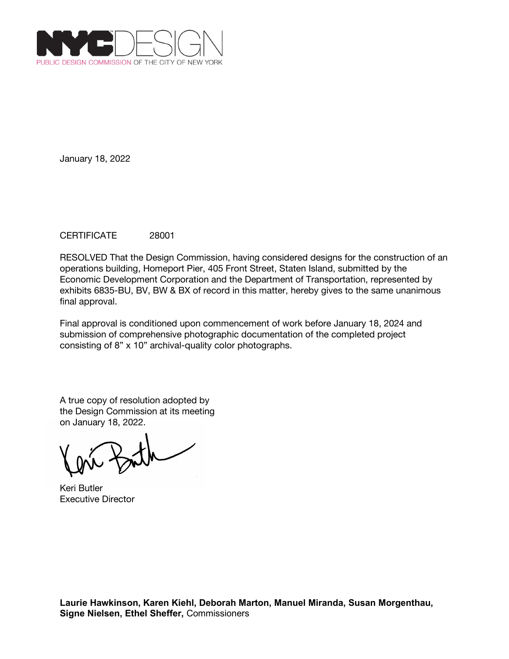

## CERTIFICATE 28001

RESOLVED That the Design Commission, having considered designs for the construction of an operations building, Homeport Pier, 405 Front Street, Staten Island, submitted by the Economic Development Corporation and the Department of Transportation, represented by exhibits 6835-BU, BV, BW & BX of record in this matter, hereby gives to the same unanimous final approval.

Final approval is conditioned upon commencement of work before January 18, 2024 and submission of comprehensive photographic documentation of the completed project consisting of 8" x 10" archival-quality color photographs.

Keri Butler Executive Director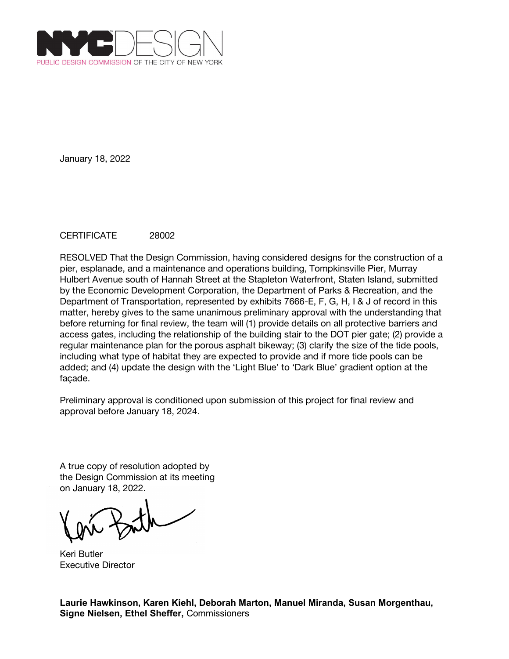

## CERTIFICATE 28002

RESOLVED That the Design Commission, having considered designs for the construction of a pier, esplanade, and a maintenance and operations building, Tompkinsville Pier, Murray Hulbert Avenue south of Hannah Street at the Stapleton Waterfront, Staten Island, submitted by the Economic Development Corporation, the Department of Parks & Recreation, and the Department of Transportation, represented by exhibits 7666-E, F, G, H, I & J of record in this matter, hereby gives to the same unanimous preliminary approval with the understanding that before returning for final review, the team will (1) provide details on all protective barriers and access gates, including the relationship of the building stair to the DOT pier gate; (2) provide a regular maintenance plan for the porous asphalt bikeway; (3) clarify the size of the tide pools, including what type of habitat they are expected to provide and if more tide pools can be added; and (4) update the design with the 'Light Blue' to 'Dark Blue' gradient option at the façade.

Preliminary approval is conditioned upon submission of this project for final review and approval before January 18, 2024.

A true copy of resolution adopted by the Design Commission at its meeting on January 18, 2022.

Keri Butler Executive Director